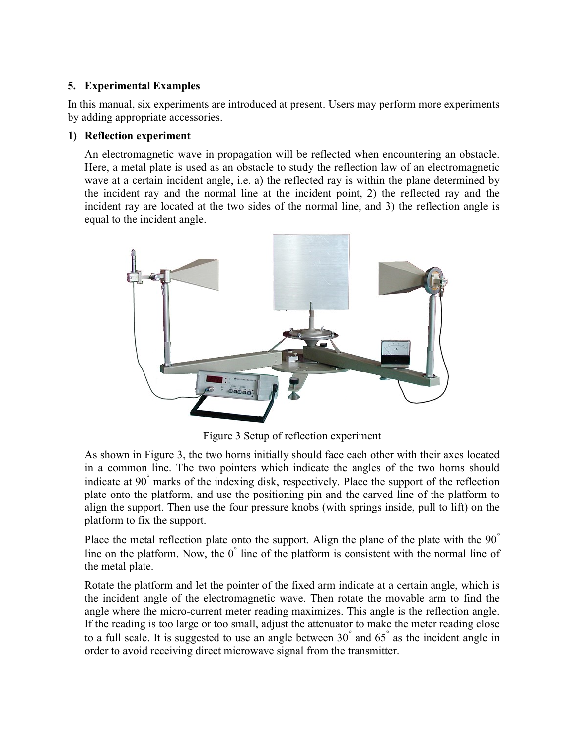# 5. Experimental Examples

In this manual, six experiments are introduced at present. Users may perform more experiments by adding appropriate accessories.

### 1) Reflection experiment

An electromagnetic wave in propagation will be reflected when encountering an obstacle. Here, a metal plate is used as an obstacle to study the reflection law of an electromagnetic wave at a certain incident angle, i.e. a) the reflected ray is within the plane determined by the incident ray and the normal line at the incident point, 2) the reflected ray and the incident ray are located at the two sides of the normal line, and 3) the reflection angle is equal to the incident angle.



Figure 3 Setup of reflection experiment

As shown in Figure 3, the two horns initially should face each other with their axes located in a common line. The two pointers which indicate the angles of the two horns should indicate at 90 marks of the indexing disk, respectively. Place the support of the reflection plate onto the platform, and use the positioning pin and the carved line of the platform to align the support. Then use the four pressure knobs (with springs inside, pull to lift) on the platform to fix the support.

Place the metal reflection plate onto the support. Align the plane of the plate with the 90<sup>°</sup> line on the platform. Now, the  $0^{\degree}$  line of the platform is consistent with the normal line of the metal plate.

Rotate the platform and let the pointer of the fixed arm indicate at a certain angle, which is the incident angle of the electromagnetic wave. Then rotate the movable arm to find the angle where the micro-current meter reading maximizes. This angle is the reflection angle. If the reading is too large or too small, adjust the attenuator to make the meter reading close to a full scale. It is suggested to use an angle between  $30^{\degree}$  and  $65^{\degree}$  as the incident angle in order to avoid receiving direct microwave signal from the transmitter.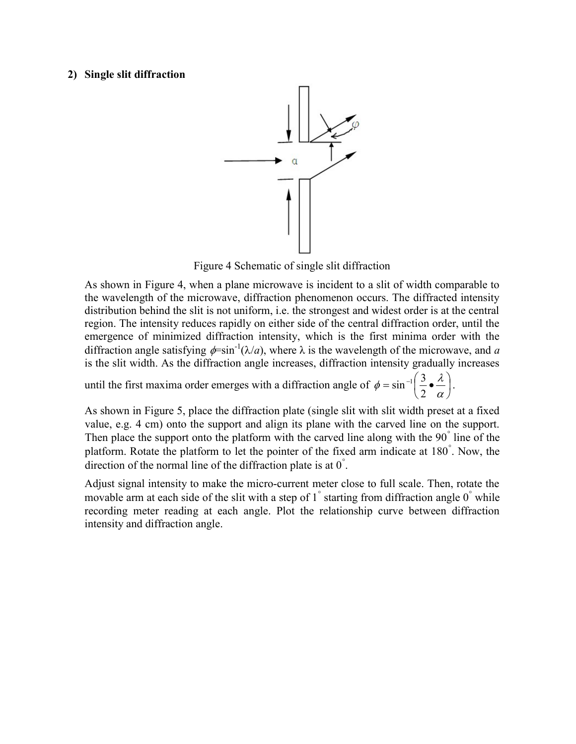#### 2) Single slit diffraction



Figure 4 Schematic of single slit diffraction

As shown in Figure 4, when a plane microwave is incident to a slit of width comparable to the wavelength of the microwave, diffraction phenomenon occurs. The diffracted intensity distribution behind the slit is not uniform, i.e. the strongest and widest order is at the central region. The intensity reduces rapidly on either side of the central diffraction order, until the emergence of minimized diffraction intensity, which is the first minima order with the diffraction angle satisfying  $\phi = \sin^{-1}(\lambda/a)$ , where  $\lambda$  is the wavelength of the microwave, and a is the slit width. As the diffraction angle increases, diffraction intensity gradually increases

until the first maxima order emerges with a diffraction angle of  $\phi = \sin^{-1} \left| \frac{\partial}{\partial \phi} \right|$ J  $\left(\frac{3}{2}\bullet \frac{\lambda}{2}\right)$ L  $=\sin^{-1}\left(\frac{3}{2}\right)$ α  $\phi = \sin^{-1} \left( \frac{3}{2} \cdot \frac{\lambda}{2} \right)$ 2  $\sin^{-1}\left(\frac{3}{2}\cdot\frac{\lambda}{\lambda}\right)$ .

As shown in Figure 5, place the diffraction plate (single slit with slit width preset at a fixed value, e.g. 4 cm) onto the support and align its plane with the carved line on the support. Then place the support onto the platform with the carved line along with the 90<sup>°</sup> line of the platform. Rotate the platform to let the pointer of the fixed arm indicate at 180 . Now, the direction of the normal line of the diffraction plate is at  $0^{\degree}$ .

Adjust signal intensity to make the micro-current meter close to full scale. Then, rotate the movable arm at each side of the slit with a step of  $1^{\degree}$  starting from diffraction angle  $0^{\degree}$  while recording meter reading at each angle. Plot the relationship curve between diffraction intensity and diffraction angle.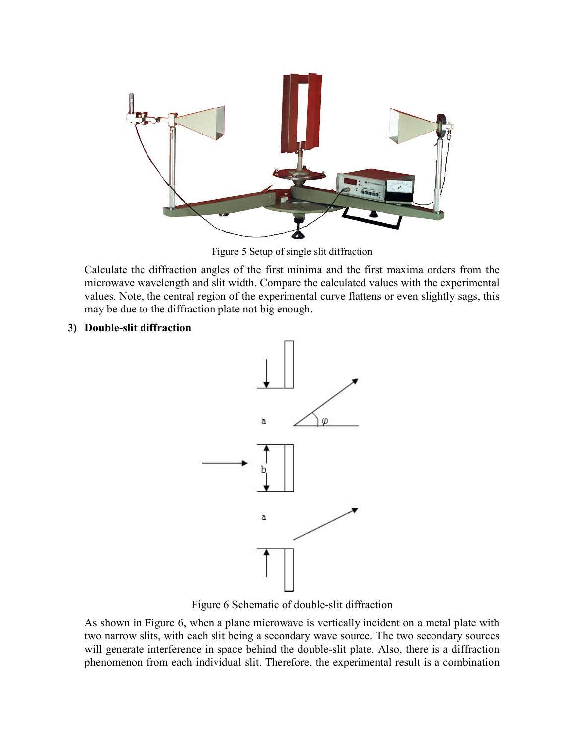

Figure 5 Setup of single slit diffraction

Calculate the diffraction angles of the first minima and the first maxima orders from the microwave wavelength and slit width. Compare the calculated values with the experimental values. Note, the central region of the experimental curve flattens or even slightly sags, this may be due to the diffraction plate not big enough.

### 3) Double-slit diffraction



Figure 6 Schematic of double-slit diffraction

As shown in Figure 6, when a plane microwave is vertically incident on a metal plate with two narrow slits, with each slit being a secondary wave source. The two secondary sources will generate interference in space behind the double-slit plate. Also, there is a diffraction phenomenon from each individual slit. Therefore, the experimental result is a combination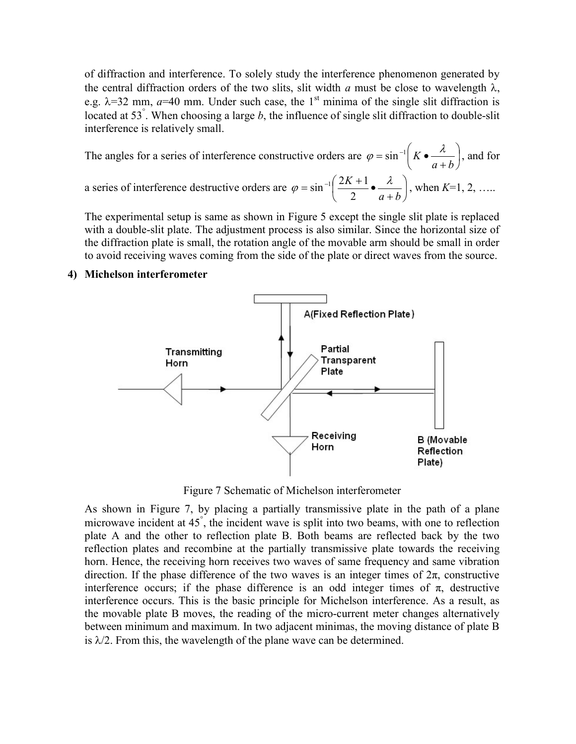of diffraction and interference. To solely study the interference phenomenon generated by the central diffraction orders of the two slits, slit width a must be close to wavelength  $\lambda$ , e.g.  $\lambda$ =32 mm,  $a$ =40 mm. Under such case, the 1<sup>st</sup> minima of the single slit diffraction is located at 53°. When choosing a large b, the influence of single slit diffraction to double-slit interference is relatively small.

The angles for a series of interference constructive orders are  $\varphi = \sin^{-1} |K \bullet \frac{\pi}{\pi}|$ J  $\left(K\bullet\frac{\lambda}{\lambda}\right)$ L ſ  $^{+}$  $=$  sin<sup>-1</sup>  $K \bullet$  $a + b$  $K \bullet \stackrel{\lambda}{\longrightarrow}$  $\varphi = \sin^{-1} K \bullet \stackrel{\lambda}{\longrightarrow}$ , and for a series of interference destructive orders are  $\varphi = \sin^{-1} \left| \frac{2R+1}{2} \right|$ J  $\left(\frac{2K+1}{2}\bullet\frac{\lambda}{\lambda}\right)$ L  $\sqrt{2}$  $^{+}$  $=\sin^{-1}\left(\frac{2K+1}{2}\right)$  $a + b$  $\varphi = \sin^{-1}\left(\frac{2K+1}{2}\bullet\frac{\lambda}{a+1}\right)$  $\sin^{-1}\left(\frac{2K+1}{2}\right)$   $\leftarrow$   $\frac{\lambda}{\lambda}$ , when  $K=1, 2, \ldots$ 

The experimental setup is same as shown in Figure 5 except the single slit plate is replaced with a double-slit plate. The adjustment process is also similar. Since the horizontal size of the diffraction plate is small, the rotation angle of the movable arm should be small in order to avoid receiving waves coming from the side of the plate or direct waves from the source.

#### 4) Michelson interferometer



Figure 7 Schematic of Michelson interferometer

As shown in Figure 7, by placing a partially transmissive plate in the path of a plane microwave incident at 45 , the incident wave is split into two beams, with one to reflection plate A and the other to reflection plate B. Both beams are reflected back by the two reflection plates and recombine at the partially transmissive plate towards the receiving horn. Hence, the receiving horn receives two waves of same frequency and same vibration direction. If the phase difference of the two waves is an integer times of  $2\pi$ , constructive interference occurs; if the phase difference is an odd integer times of  $\pi$ , destructive interference occurs. This is the basic principle for Michelson interference. As a result, as the movable plate B moves, the reading of the micro-current meter changes alternatively between minimum and maximum. In two adjacent minimas, the moving distance of plate B is  $\lambda/2$ . From this, the wavelength of the plane wave can be determined.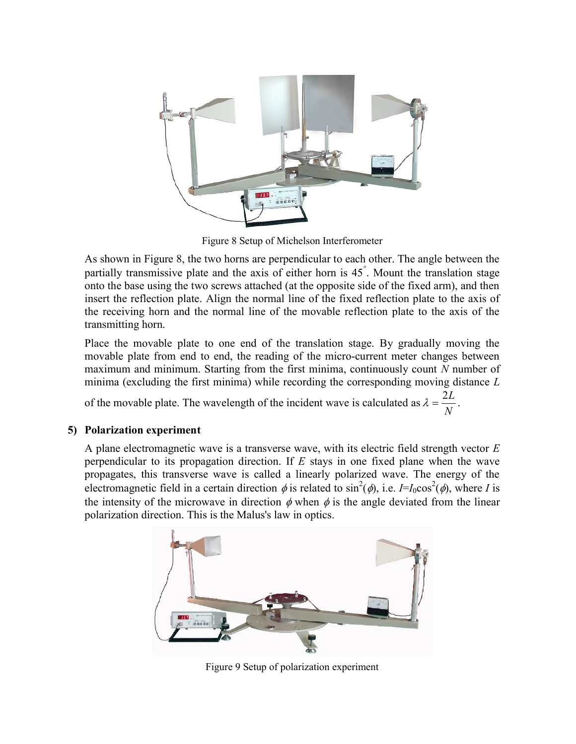

Figure 8 Setup of Michelson Interferometer

As shown in Figure 8, the two horns are perpendicular to each other. The angle between the partially transmissive plate and the axis of either horn is 45 . Mount the translation stage onto the base using the two screws attached (at the opposite side of the fixed arm), and then insert the reflection plate. Align the normal line of the fixed reflection plate to the axis of the receiving horn and the normal line of the movable reflection plate to the axis of the transmitting horn.

Place the movable plate to one end of the translation stage. By gradually moving the movable plate from end to end, the reading of the micro-current meter changes between maximum and minimum. Starting from the first minima, continuously count N number of minima (excluding the first minima) while recording the corresponding moving distance  $L$ 

of the movable plate. The wavelength of the incident wave is calculated as N  $\lambda = \frac{2L}{N}.$ 

## 5) Polarization experiment

A plane electromagnetic wave is a transverse wave, with its electric field strength vector  $E$ perpendicular to its propagation direction. If  $E$  stays in one fixed plane when the wave propagates, this transverse wave is called a linearly polarized wave. The energy of the electromagnetic field in a certain direction  $\phi$  is related to sin<sup>2</sup>( $\phi$ ), i.e. *I*=*I*<sub>0</sub>cos<sup>2</sup>( $\phi$ ), where *I* is the intensity of the microwave in direction  $\phi$  when  $\phi$  is the angle deviated from the linear polarization direction. This is the Malus's law in optics.



Figure 9 Setup of polarization experiment